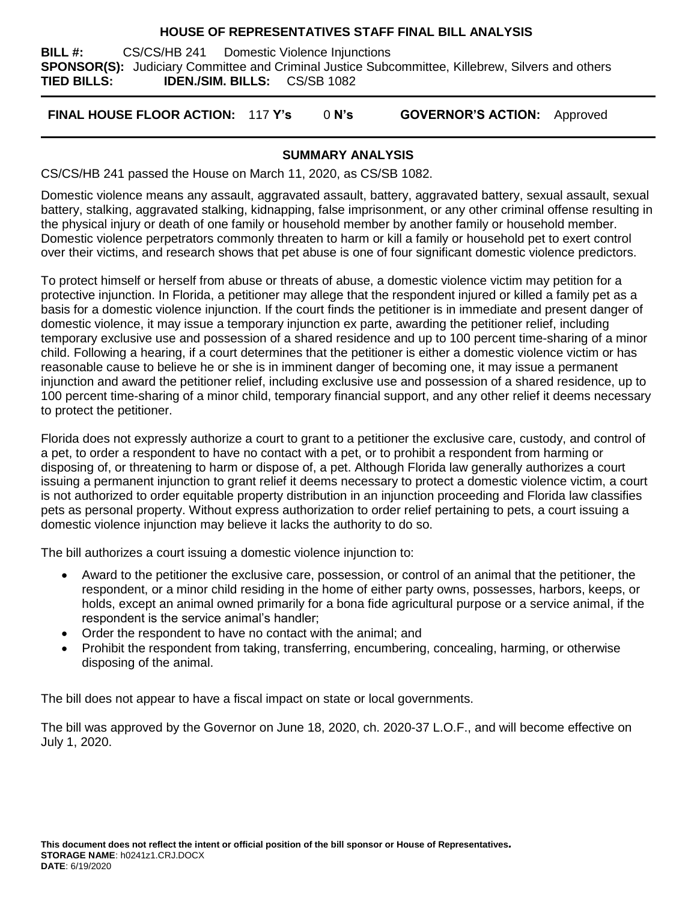#### **HOUSE OF REPRESENTATIVES STAFF FINAL BILL ANALYSIS**

**BILL #:** CS/CS/HB 241 Domestic Violence Injunctions **SPONSOR(S):** Judiciary Committee and Criminal Justice Subcommittee, Killebrew, Silvers and others **TIED BILLS: IDEN./SIM. BILLS:** CS/SB 1082

**FINAL HOUSE FLOOR ACTION:** 117 **Y's** 0 **N's GOVERNOR'S ACTION:** Approved

## **SUMMARY ANALYSIS**

CS/CS/HB 241 passed the House on March 11, 2020, as CS/SB 1082.

Domestic violence means any assault, aggravated assault, battery, aggravated battery, sexual assault, sexual battery, stalking, aggravated stalking, kidnapping, false imprisonment, or any other criminal offense resulting in the physical injury or death of one family or household member by another family or household member. Domestic violence perpetrators commonly threaten to harm or kill a family or household pet to exert control over their victims, and research shows that pet abuse is one of four significant domestic violence predictors.

To protect himself or herself from abuse or threats of abuse, a domestic violence victim may petition for a protective injunction. In Florida, a petitioner may allege that the respondent injured or killed a family pet as a basis for a domestic violence injunction. If the court finds the petitioner is in immediate and present danger of domestic violence, it may issue a temporary injunction ex parte, awarding the petitioner relief, including temporary exclusive use and possession of a shared residence and up to 100 percent time-sharing of a minor child. Following a hearing, if a court determines that the petitioner is either a domestic violence victim or has reasonable cause to believe he or she is in imminent danger of becoming one, it may issue a permanent injunction and award the petitioner relief, including exclusive use and possession of a shared residence, up to 100 percent time-sharing of a minor child, temporary financial support, and any other relief it deems necessary to protect the petitioner.

Florida does not expressly authorize a court to grant to a petitioner the exclusive care, custody, and control of a pet, to order a respondent to have no contact with a pet, or to prohibit a respondent from harming or disposing of, or threatening to harm or dispose of, a pet. Although Florida law generally authorizes a court issuing a permanent injunction to grant relief it deems necessary to protect a domestic violence victim, a court is not authorized to order equitable property distribution in an injunction proceeding and Florida law classifies pets as personal property. Without express authorization to order relief pertaining to pets, a court issuing a domestic violence injunction may believe it lacks the authority to do so.

The bill authorizes a court issuing a domestic violence injunction to:

- Award to the petitioner the exclusive care, possession, or control of an animal that the petitioner, the respondent, or a minor child residing in the home of either party owns, possesses, harbors, keeps, or holds, except an animal owned primarily for a bona fide agricultural purpose or a service animal, if the respondent is the service animal's handler;
- Order the respondent to have no contact with the animal; and
- Prohibit the respondent from taking, transferring, encumbering, concealing, harming, or otherwise disposing of the animal.

The bill does not appear to have a fiscal impact on state or local governments.

The bill was approved by the Governor on June 18, 2020, ch. 2020-37 L.O.F., and will become effective on July 1, 2020.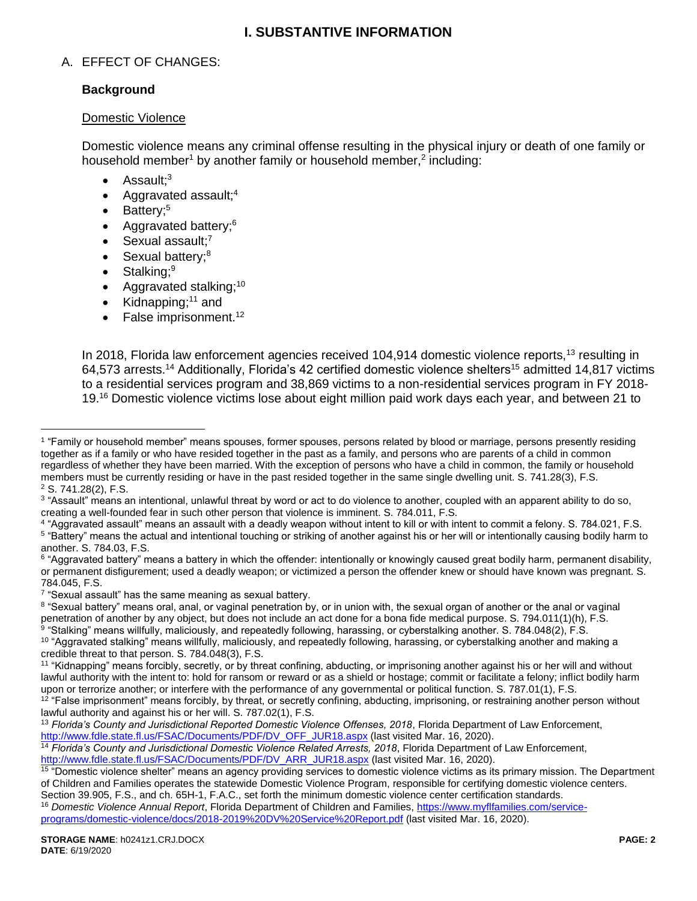# **I. SUBSTANTIVE INFORMATION**

## A. EFFECT OF CHANGES:

### **Background**

#### Domestic Violence

Domestic violence means any criminal offense resulting in the physical injury or death of one family or household member<sup>1</sup> by another family or household member,<sup>2</sup> including:

- Assault:<sup>3</sup>
- Aggravated assault;<sup>4</sup>
- $\bullet$  Battery;<sup>5</sup>
- Aggravated battery; $6$
- $\bullet$  Sexual assault;<sup>7</sup>
- $\bullet$  Sexual battery; $8$
- $\bullet$  Stalking;<sup>9</sup>

 $\overline{a}$ 

- Aggravated stalking;<sup>10</sup>
- Kidnapping; $11$  and
- False imprisonment.<sup>12</sup>

In 2018, Florida law enforcement agencies received 104,914 domestic violence reports,<sup>13</sup> resulting in 64,573 arrests.<sup>14</sup> Additionally, Florida's 42 certified domestic violence shelters<sup>15</sup> admitted 14.817 victims to a residential services program and 38,869 victims to a non-residential services program in FY 2018- 19.<sup>16</sup> Domestic violence victims lose about eight million paid work days each year, and between 21 to

<sup>1</sup> "Family or household member" means spouses, former spouses, persons related by blood or marriage, persons presently residing together as if a family or who have resided together in the past as a family, and persons who are parents of a child in common regardless of whether they have been married. With the exception of persons who have a child in common, the family or household members must be currently residing or have in the past resided together in the same single dwelling unit. S. 741.28(3), F.S. <sup>2</sup> S. 741.28(2), F.S.

<sup>&</sup>lt;sup>3</sup> "Assault" means an intentional, unlawful threat by word or act to do violence to another, coupled with an apparent ability to do so, creating a well-founded fear in such other person that violence is imminent. S. 784.011, F.S.

<sup>4</sup> "Aggravated assault" means an assault with a deadly weapon without intent to kill or with intent to commit a felony. S. 784.021, F.S. <sup>5</sup> "Battery" means the actual and intentional touching or striking of another against his or her will or intentionally causing bodily harm to another. S. 784.03, F.S.

 $^6$  "Aggravated battery" means a battery in which the offender: intentionally or knowingly caused great bodily harm, permanent disability, or permanent disfigurement; used a deadly weapon; or victimized a person the offender knew or should have known was pregnant. S. 784.045, F.S.

<sup>&</sup>lt;sup>7</sup> "Sexual assault" has the same meaning as sexual battery.

<sup>&</sup>lt;sup>8</sup> "Sexual battery" means oral, anal, or vaginal penetration by, or in union with, the sexual organ of another or the anal or vaginal penetration of another by any object, but does not include an act done for a bona fide medical purpose. S. 794.011(1)(h), F.S.  $^9$  "Stalking" means willfully, maliciously, and repeatedly following, harassing, or cyberstalking another. S. 784.048(2), F.S.

 $^{\rm 10}$  "Aggravated stalking" means willfully, maliciously, and repeatedly following, harassing, or cyberstalking another and making a credible threat to that person. S. 784.048(3), F.S.

<sup>11</sup> "Kidnapping" means forcibly, secretly, or by threat confining, abducting, or imprisoning another against his or her will and without lawful authority with the intent to: hold for ransom or reward or as a shield or hostage; commit or facilitate a felony; inflict bodily harm upon or terrorize another; or interfere with the performance of any governmental or political function. S. 787.01(1), F.S.

 $12$  "False imprisonment" means forcibly, by threat, or secretly confining, abducting, imprisoning, or restraining another person without lawful authority and against his or her will. S. 787.02(1), F.S.

<sup>13</sup> *Florida's County and Jurisdictional Reported Domestic Violence Offenses, 2018*, Florida Department of Law Enforcement, [http://www.fdle.state.fl.us/FSAC/Documents/PDF/DV\\_OFF\\_JUR18.aspx](http://www.fdle.state.fl.us/FSAC/Documents/PDF/DV_OFF_JUR18.aspx) (last visited Mar. 16, 2020).

<sup>14</sup> *Florida's County and Jurisdictional Domestic Violence Related Arrests, 2018*, Florida Department of Law Enforcement,

[http://www.fdle.state.fl.us/FSAC/Documents/PDF/DV\\_ARR\\_JUR18.aspx](http://www.fdle.state.fl.us/FSAC/Documents/PDF/DV_ARR_JUR18.aspx) (last visited Mar. 16, 2020).

<sup>&</sup>lt;sup>15</sup> "Domestic violence shelter" means an agency providing services to domestic violence victims as its primary mission. The Department of Children and Families operates the statewide Domestic Violence Program, responsible for certifying domestic violence centers. Section 39.905, F.S., and ch. 65H-1, F.A.C., set forth the minimum domestic violence center certification standards.

<sup>&</sup>lt;sup>16</sup> Domestic Violence Annual Report, Florida Department of Children and Families, [https://www.myflfamilies.com/service](https://www.myflfamilies.com/service-programs/domestic-violence/docs/2018-2019%20DV%20Service%20Report.pdf)[programs/domestic-violence/docs/2018-2019%20DV%20Service%20Report.pdf](https://www.myflfamilies.com/service-programs/domestic-violence/docs/2018-2019%20DV%20Service%20Report.pdf) (last visited Mar. 16, 2020).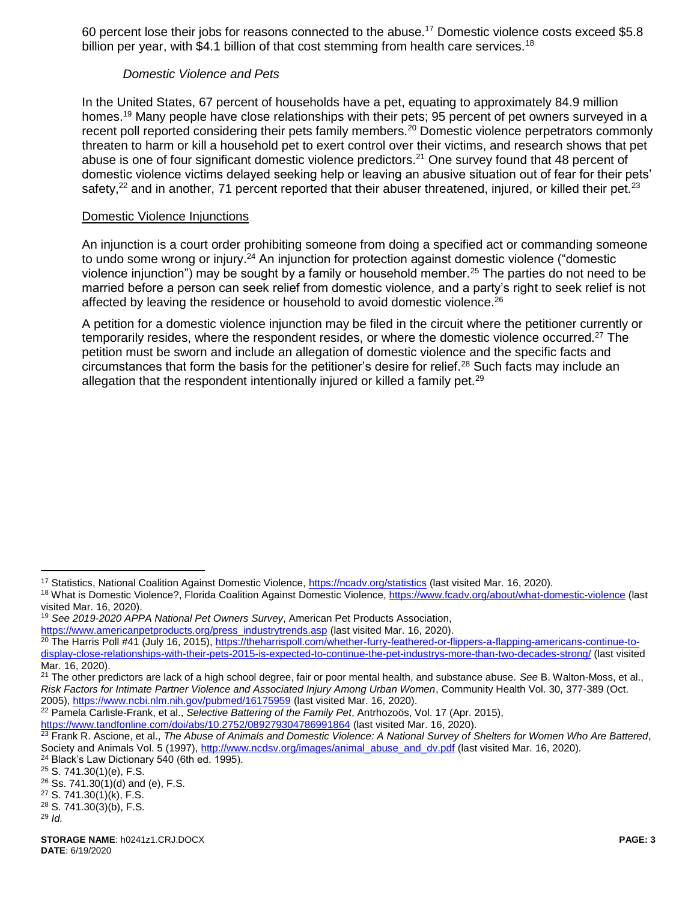60 percent lose their jobs for reasons connected to the abuse.<sup>17</sup> Domestic violence costs exceed \$5.8 billion per year, with \$4.1 billion of that cost stemming from health care services.<sup>18</sup>

## *Domestic Violence and Pets*

In the United States, 67 percent of households have a pet, equating to approximately 84.9 million homes.<sup>19</sup> Many people have close relationships with their pets; 95 percent of pet owners surveyed in a recent poll reported considering their pets family members.<sup>20</sup> Domestic violence perpetrators commonly threaten to harm or kill a household pet to exert control over their victims, and research shows that pet abuse is one of four significant domestic violence predictors.<sup>21</sup> One survey found that 48 percent of domestic violence victims delayed seeking help or leaving an abusive situation out of fear for their pets' safety,<sup>22</sup> and in another, 71 percent reported that their abuser threatened, injured, or killed their pet.<sup>23</sup>

#### Domestic Violence Injunctions

An injunction is a court order prohibiting someone from doing a specified act or commanding someone to undo some wrong or injury.<sup>24</sup> An injunction for protection against domestic violence ("domestic violence injunction") may be sought by a family or household member.<sup>25</sup> The parties do not need to be married before a person can seek relief from domestic violence, and a party's right to seek relief is not affected by leaving the residence or household to avoid domestic violence.<sup>26</sup>

A petition for a domestic violence injunction may be filed in the circuit where the petitioner currently or temporarily resides, where the respondent resides, or where the domestic violence occurred.<sup>27</sup> The petition must be sworn and include an allegation of domestic violence and the specific facts and circumstances that form the basis for the petitioner's desire for relief.<sup>28</sup> Such facts may include an allegation that the respondent intentionally injured or killed a family pet.<sup>29</sup>

<sup>19</sup> *See 2019-2020 APPA National Pet Owners Survey*, American Pet Products Association,

<https://www.tandfonline.com/doi/abs/10.2752/089279304786991864> (last visited Mar. 16, 2020).

 $\overline{a}$ 

<sup>&</sup>lt;sup>17</sup> Statistics, National Coalition Against Domestic Violence,<https://ncadv.org/statistics> (last visited Mar. 16, 2020).

<sup>&</sup>lt;sup>18</sup> What is Domestic Violence?, Florida Coalition Against Domestic Violence,<https://www.fcadv.org/about/what-domestic-violence> (last visited Mar. 16, 2020).

[https://www.americanpetproducts.org/press\\_industrytrends.asp](https://www.americanpetproducts.org/press_industrytrends.asp) (last visited Mar. 16, 2020). <sup>20</sup> The Harris Poll #41 (July 16, 2015), [https://theharrispoll.com/whether-furry-feathered-or-flippers-a-flapping-americans-continue-to](https://theharrispoll.com/whether-furry-feathered-or-flippers-a-flapping-americans-continue-to-display-close-relationships-with-their-pets-2015-is-expected-to-continue-the-pet-industrys-more-than-two-decades-strong/)[display-close-relationships-with-their-pets-2015-is-expected-to-continue-the-pet-industrys-more-than-two-decades-strong/](https://theharrispoll.com/whether-furry-feathered-or-flippers-a-flapping-americans-continue-to-display-close-relationships-with-their-pets-2015-is-expected-to-continue-the-pet-industrys-more-than-two-decades-strong/) (last visited Mar. 16, 2020).

<sup>21</sup> The other predictors are lack of a high school degree, fair or poor mental health, and substance abuse. *See* B. Walton-Moss, et al., *Risk Factors for Intimate Partner Violence and Associated Injury Among Urban Women*, Community Health Vol. 30, 377-389 (Oct. 2005),<https://www.ncbi.nlm.nih.gov/pubmed/16175959> (last visited Mar. 16, 2020).

<sup>22</sup> Pamela Carlisle-Frank, et al., *Selective Battering of the Family Pet*, Antrhozoös, Vol. 17 (Apr. 2015),

<sup>23</sup> Frank R. Ascione, et al., *The Abuse of Animals and Domestic Violence: A National Survey of Shelters for Women Who Are Battered*, Society and Animals Vol. 5 (1997), [http://www.ncdsv.org/images/animal\\_abuse\\_and\\_dv.pdf](http://www.ncdsv.org/images/animal_abuse_and_dv.pdf) (last visited Mar. 16, 2020). <sup>24</sup> Black's Law Dictionary 540 (6th ed. 1995).

 $25$  S. 741.30(1)(e), F.S.

 $26$  Ss. 741.30(1)(d) and (e), F.S.

<sup>27</sup> S. 741.30(1)(k), F.S.

<sup>28</sup> S. 741.30(3)(b), F.S.

<sup>29</sup> *Id.*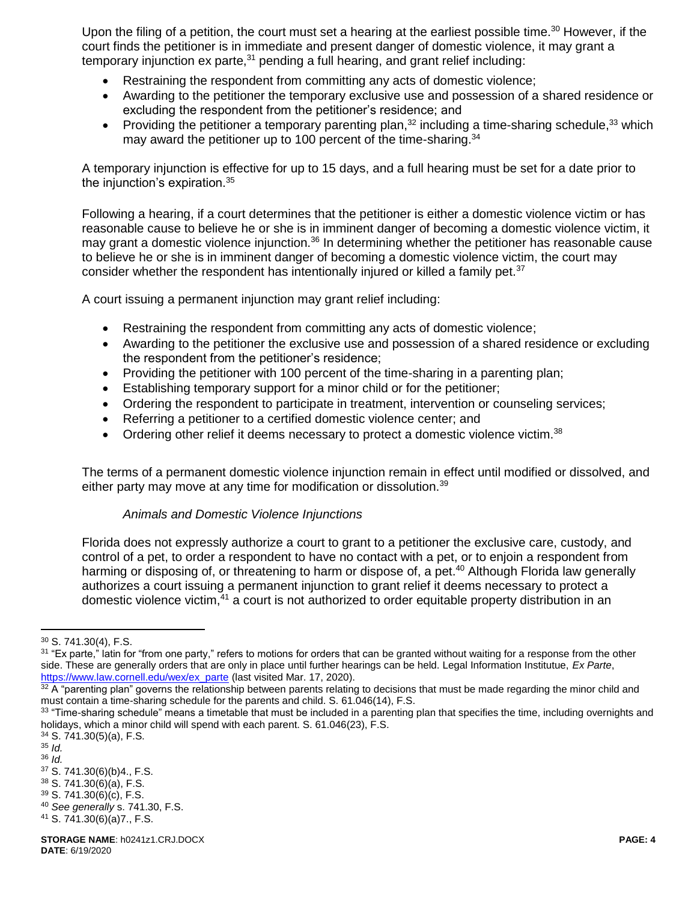Upon the filing of a petition, the court must set a hearing at the earliest possible time.<sup>30</sup> However, if the court finds the petitioner is in immediate and present danger of domestic violence, it may grant a temporary injunction  $ex$  parte, $31$  pending a full hearing, and grant relief including:

- Restraining the respondent from committing any acts of domestic violence;
- Awarding to the petitioner the temporary exclusive use and possession of a shared residence or excluding the respondent from the petitioner's residence; and
- Providing the petitioner a temporary parenting plan,  $32$  including a time-sharing schedule,  $33$  which may award the petitioner up to 100 percent of the time-sharing.<sup>34</sup>

A temporary injunction is effective for up to 15 days, and a full hearing must be set for a date prior to the injunction's expiration.<sup>35</sup>

Following a hearing, if a court determines that the petitioner is either a domestic violence victim or has reasonable cause to believe he or she is in imminent danger of becoming a domestic violence victim, it may grant a domestic violence injunction.<sup>36</sup> In determining whether the petitioner has reasonable cause to believe he or she is in imminent danger of becoming a domestic violence victim, the court may consider whether the respondent has intentionally injured or killed a family pet.<sup>37</sup>

A court issuing a permanent injunction may grant relief including:

- Restraining the respondent from committing any acts of domestic violence;
- Awarding to the petitioner the exclusive use and possession of a shared residence or excluding the respondent from the petitioner's residence;
- Providing the petitioner with 100 percent of the time-sharing in a parenting plan;
- Establishing temporary support for a minor child or for the petitioner;
- Ordering the respondent to participate in treatment, intervention or counseling services;
- Referring a petitioner to a certified domestic violence center; and
- Ordering other relief it deems necessary to protect a domestic violence victim. $38$

The terms of a permanent domestic violence injunction remain in effect until modified or dissolved, and either party may move at any time for modification or dissolution.<sup>39</sup>

#### *Animals and Domestic Violence Injunctions*

Florida does not expressly authorize a court to grant to a petitioner the exclusive care, custody, and control of a pet, to order a respondent to have no contact with a pet, or to enjoin a respondent from harming or disposing of, or threatening to harm or dispose of, a pet.<sup>40</sup> Although Florida law generally authorizes a court issuing a permanent injunction to grant relief it deems necessary to protect a domestic violence victim,<sup>41</sup> a court is not authorized to order equitable property distribution in an

<sup>35</sup> *Id.*

 $\overline{a}$ 

<sup>30</sup> S. 741.30(4), F.S.

<sup>&</sup>lt;sup>31</sup> "Ex parte," latin for "from one party," refers to motions for orders that can be granted without waiting for a response from the other side. These are generally orders that are only in place until further hearings can be held. Legal Information Institutue, *Ex Parte*, [https://www.law.cornell.edu/wex/ex\\_parte](https://www.law.cornell.edu/wex/ex_parte) (last visited Mar. 17, 2020).

 $32$  A "parenting plan" governs the relationship between parents relating to decisions that must be made regarding the minor child and must contain a time-sharing schedule for the parents and child. S. 61.046(14), F.S.

<sup>33 &</sup>quot;Time-sharing schedule" means a timetable that must be included in a parenting plan that specifies the time, including overnights and holidays, which a minor child will spend with each parent. S. 61.046(23), F.S.

 $34$  S. 741.30(5)(a), F.S.

<sup>36</sup> *Id.*

<sup>37</sup> S. 741.30(6)(b)4., F.S.

<sup>38</sup> S. 741.30(6)(a), F.S. <sup>39</sup> S. 741.30(6)(c), F.S.

<sup>40</sup> *See generally* s. 741.30, F.S.

<sup>41</sup> S. 741.30(6)(a)7., F.S.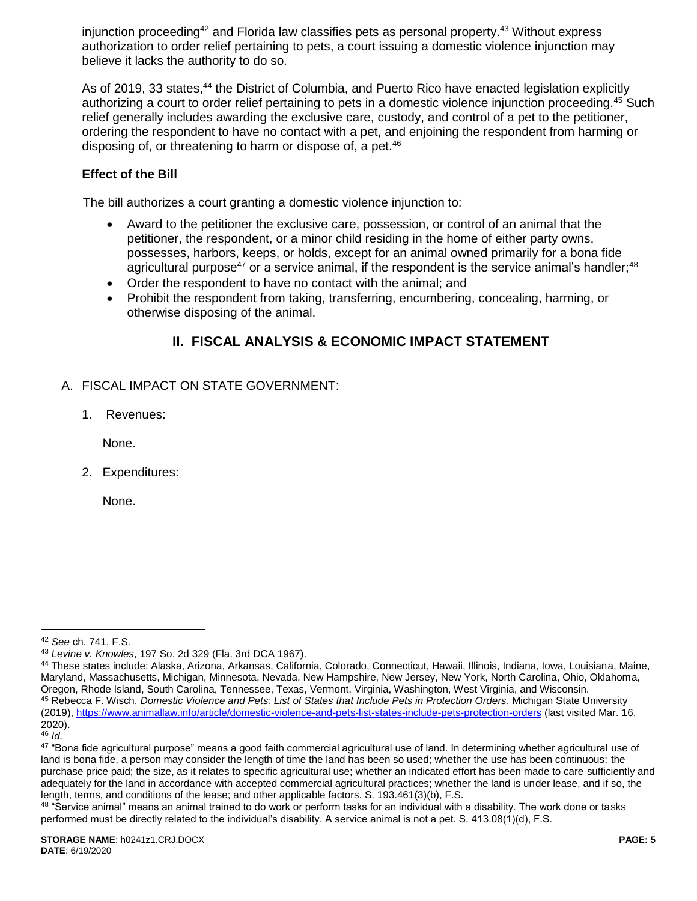injunction proceeding<sup>42</sup> and Florida law classifies pets as personal property.<sup>43</sup> Without express authorization to order relief pertaining to pets, a court issuing a domestic violence injunction may believe it lacks the authority to do so.

As of 2019, 33 states,<sup>44</sup> the District of Columbia, and Puerto Rico have enacted legislation explicitly authorizing a court to order relief pertaining to pets in a domestic violence injunction proceeding.<sup>45</sup> Such relief generally includes awarding the exclusive care, custody, and control of a pet to the petitioner, ordering the respondent to have no contact with a pet, and enjoining the respondent from harming or disposing of, or threatening to harm or dispose of, a pet.<sup>46</sup>

# **Effect of the Bill**

The bill authorizes a court granting a domestic violence injunction to:

- Award to the petitioner the exclusive care, possession, or control of an animal that the petitioner, the respondent, or a minor child residing in the home of either party owns, possesses, harbors, keeps, or holds, except for an animal owned primarily for a bona fide agricultural purpose<sup>47</sup> or a service animal, if the respondent is the service animal's handler;<sup>48</sup>
- Order the respondent to have no contact with the animal; and
- Prohibit the respondent from taking, transferring, encumbering, concealing, harming, or otherwise disposing of the animal.

# **II. FISCAL ANALYSIS & ECONOMIC IMPACT STATEMENT**

- A. FISCAL IMPACT ON STATE GOVERNMENT:
	- 1. Revenues:

None.

2. Expenditures:

None.

 $\overline{a}$ <sup>42</sup> *See* ch. 741, F.S.

<sup>43</sup> *Levine v. Knowles*, 197 So. 2d 329 (Fla. 3rd DCA 1967).

<sup>44</sup> These states include: Alaska, Arizona, Arkansas, California, Colorado, Connecticut, Hawaii, Illinois, Indiana, Iowa, Louisiana, Maine, Maryland, Massachusetts, Michigan, Minnesota, Nevada, New Hampshire, New Jersey, New York, North Carolina, Ohio, Oklahoma, Oregon, Rhode Island, South Carolina, Tennessee, Texas, Vermont, Virginia, Washington, West Virginia, and Wisconsin. <sup>45</sup> Rebecca F. Wisch, *Domestic Violence and Pets: List of States that Include Pets in Protection Orders*, Michigan State University (2019),<https://www.animallaw.info/article/domestic-violence-and-pets-list-states-include-pets-protection-orders> (last visited Mar. 16, 2020).

<sup>46</sup> *Id.*

<sup>47 &</sup>quot;Bona fide agricultural purpose" means a good faith commercial agricultural use of land. In determining whether agricultural use of land is bona fide, a person may consider the length of time the land has been so used; whether the use has been continuous; the purchase price paid; the size, as it relates to specific agricultural use; whether an indicated effort has been made to care sufficiently and adequately for the land in accordance with accepted commercial agricultural practices; whether the land is under lease, and if so, the length, terms, and conditions of the lease; and other applicable factors. S. 193.461(3)(b), F.S.

<sup>&</sup>lt;sup>48</sup> "Service animal" means an animal trained to do work or perform tasks for an individual with a disability. The work done or tasks performed must be directly related to the individual's disability. A service animal is not a pet. S. 413.08(1)(d), F.S.